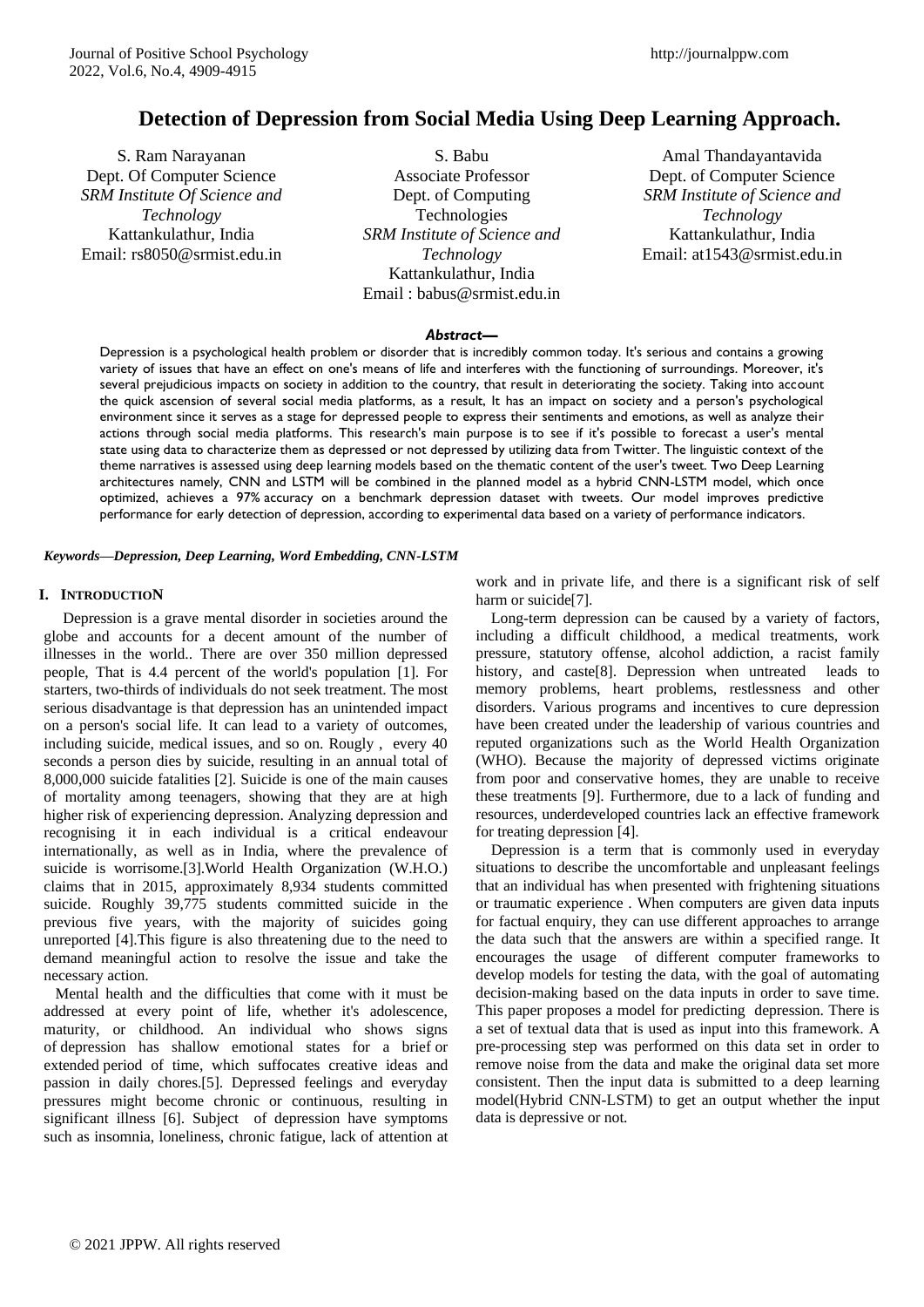# **Detection of Depression from Social Media Using Deep Learning Approach.**

S. Ram Narayanan Dept. Of Computer Science *SRM Institute Of Science and Technology* Kattankulathur, India Email: rs8050@srmist.edu.in.

S. Babu Associate Professor Dept. of Computing Technologies *SRM Institute of Science and Technology* Kattankulathur, India Email : babus@srmist.edu.in

Amal Thandayantavida Dept. of Computer Science *SRM Institute of Science and Technology* Kattankulathur, India Email: at1543@srmist.edu.in

#### *Abstract***—**

Depression is a psychological health problem or disorder that is incredibly common today. It's serious and contains a growing variety of issues that have an effect on one's means of life and interferes with the functioning of surroundings. Moreover, it's several prejudicious impacts on society in addition to the country, that result in deteriorating the society. Taking into account the quick ascension of several social media platforms, as a result, It has an impact on society and a person's psychological environment since it serves as a stage for depressed people to express their sentiments and emotions, as well as analyze their actions through social media platforms. This research's main purpose is to see if it's possible to forecast a user's mental state using data to characterize them as depressed or not depressed by utilizing data from Twitter. The linguistic context of the theme narratives is assessed using deep learning models based on the thematic content of the user's tweet. Two Deep Learning architectures namely, CNN and LSTM will be combined in the planned model as a hybrid CNN-LSTM model, which once optimized, achieves a 97% accuracy on a benchmark depression dataset with tweets. Our model improves predictive performance for early detection of depression, according to experimental data based on a variety of performance indicators.

### *Keywords—Depression, Deep Learning, Word Embedding, CNN-LSTM*

### **I. INTRODUCTION**

 Depression is a grave mental disorder in societies around the globe and accounts for a decent amount of the number of illnesses in the world.. There are over 350 million depressed people, That is 4.4 percent of the world's population [1]. For starters, two-thirds of individuals do not seek treatment. The most serious disadvantage is that depression has an unintended impact on a person's social life. It can lead to a variety of outcomes, including suicide, medical issues, and so on. Rougly , every 40 seconds a person dies by suicide, resulting in an annual total of 8,000,000 suicide fatalities [2]. Suicide is one of the main causes of mortality among teenagers, showing that they are at high higher risk of experiencing depression. Analyzing depression and recognising it in each individual is a critical endeavour internationally, as well as in India, where the prevalence of suicide is worrisome.[3].World Health Organization (W.H.O.) claims that in 2015, approximately 8,934 students committed suicide. Roughly 39,775 students committed suicide in the previous five years, with the majority of suicides going unreported [4].This figure is also threatening due to the need to demand meaningful action to resolve the issue and take the necessary action.

 Mental health and the difficulties that come with it must be addressed at every point of life, whether it's adolescence, maturity, or childhood. An individual who shows signs of depression has shallow emotional states for a brief or extended period of time, which suffocates creative ideas and passion in daily chores.[5]. Depressed feelings and everyday pressures might become chronic or continuous, resulting in significant illness [6]. Subject of depression have symptoms such as insomnia, loneliness, chronic fatigue, lack of attention at

work and in private life, and there is a significant risk of self harm or suicide<sup>[7]</sup>.

 Long-term depression can be caused by a variety of factors, including a difficult childhood, a medical treatments, work pressure, statutory offense, alcohol addiction, a racist family history, and caste<sup>[8]</sup>. Depression when untreated leads to memory problems, heart problems, restlessness and other disorders. Various programs and incentives to cure depression have been created under the leadership of various countries and reputed organizations such as the World Health Organization (WHO). Because the majority of depressed victims originate from poor and conservative homes, they are unable to receive these treatments [9]. Furthermore, due to a lack of funding and resources, underdeveloped countries lack an effective framework for treating depression [4].

 Depression is a term that is commonly used in everyday situations to describe the uncomfortable and unpleasant feelings that an individual has when presented with frightening situations or traumatic experience . When computers are given data inputs for factual enquiry, they can use different approaches to arrange the data such that the answers are within a specified range. It encourages the usage of different computer frameworks to develop models for testing the data, with the goal of automating decision-making based on the data inputs in order to save time. This paper proposes a model for predicting depression. There is a set of textual data that is used as input into this framework. A pre-processing step was performed on this data set in order to remove noise from the data and make the original data set more consistent. Then the input data is submitted to a deep learning model(Hybrid CNN-LSTM) to get an output whether the input data is depressive or not.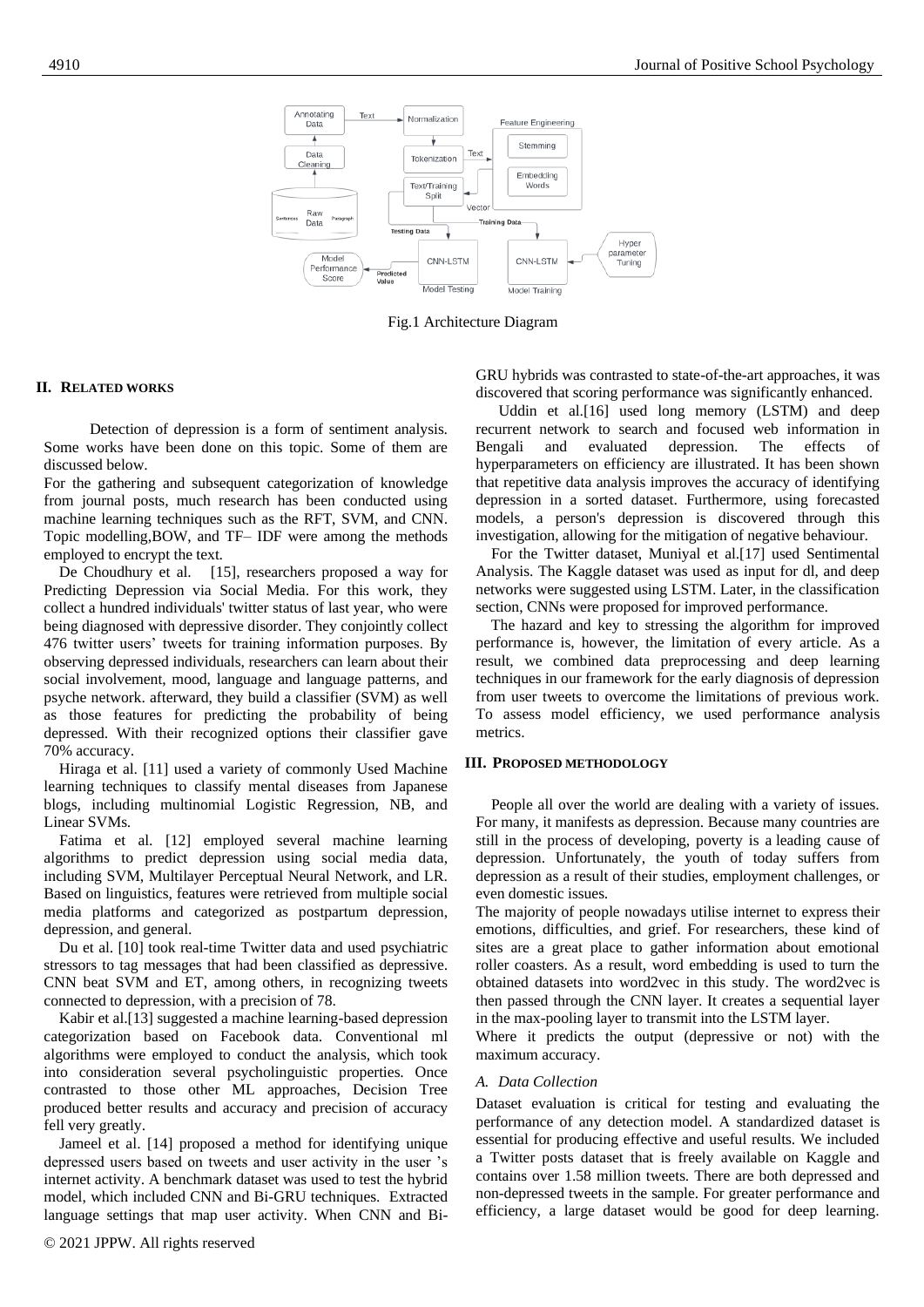

Fig.1 Architecture Diagram

### **II. RELATED WORKS**

 Detection of depression is a form of sentiment analysis. Some works have been done on this topic. Some of them are discussed below.

For the gathering and subsequent categorization of knowledge from journal posts, much research has been conducted using machine learning techniques such as the RFT, SVM, and CNN. Topic modelling,BOW, and TF– IDF were among the methods employed to encrypt the text.

 De Choudhury et al. [15], researchers proposed a way for Predicting Depression via Social Media. For this work, they collect a hundred individuals' twitter status of last year, who were being diagnosed with depressive disorder. They conjointly collect 476 twitter users' tweets for training information purposes. By observing depressed individuals, researchers can learn about their social involvement, mood, language and language patterns, and psyche network. afterward, they build a classifier (SVM) as well as those features for predicting the probability of being depressed. With their recognized options their classifier gave 70% accuracy.

 Hiraga et al. [11] used a variety of commonly Used Machine learning techniques to classify mental diseases from Japanese blogs, including multinomial Logistic Regression, NB, and Linear SVMs.

 Fatima et al. [12] employed several machine learning algorithms to predict depression using social media data, including SVM, Multilayer Perceptual Neural Network, and LR. Based on linguistics, features were retrieved from multiple social media platforms and categorized as postpartum depression, depression, and general.

 Du et al. [10] took real-time Twitter data and used psychiatric stressors to tag messages that had been classified as depressive. CNN beat SVM and ET, among others, in recognizing tweets connected to depression, with a precision of 78.

 Kabir et al.[13] suggested a machine learning-based depression categorization based on Facebook data. Conventional ml algorithms were employed to conduct the analysis, which took into consideration several psycholinguistic properties. Once contrasted to those other ML approaches, Decision Tree produced better results and accuracy and precision of accuracy fell very greatly.

 Jameel et al. [14] proposed a method for identifying unique depressed users based on tweets and user activity in the user 's internet activity. A benchmark dataset was used to test the hybrid model, which included CNN and Bi-GRU techniques. Extracted language settings that map user activity. When CNN and BiGRU hybrids was contrasted to state-of-the-art approaches, it was discovered that scoring performance was significantly enhanced.

 Uddin et al.[16] used long memory (LSTM) and deep recurrent network to search and focused web information in Bengali and evaluated depression. The effects of hyperparameters on efficiency are illustrated. It has been shown that repetitive data analysis improves the accuracy of identifying depression in a sorted dataset. Furthermore, using forecasted models, a person's depression is discovered through this investigation, allowing for the mitigation of negative behaviour.

 For the Twitter dataset, Muniyal et al.[17] used Sentimental Analysis. The Kaggle dataset was used as input for dl, and deep networks were suggested using LSTM. Later, in the classification section, CNNs were proposed for improved performance.

 The hazard and key to stressing the algorithm for improved performance is, however, the limitation of every article. As a result, we combined data preprocessing and deep learning techniques in our framework for the early diagnosis of depression from user tweets to overcome the limitations of previous work. To assess model efficiency, we used performance analysis metrics.

### **III. PROPOSED METHODOLOGY**

 People all over the world are dealing with a variety of issues. For many, it manifests as depression. Because many countries are still in the process of developing, poverty is a leading cause of depression. Unfortunately, the youth of today suffers from depression as a result of their studies, employment challenges, or even domestic issues.

The majority of people nowadays utilise internet to express their emotions, difficulties, and grief. For researchers, these kind of sites are a great place to gather information about emotional roller coasters. As a result, word embedding is used to turn the obtained datasets into word2vec in this study. The word2vec is then passed through the CNN layer. It creates a sequential layer in the max-pooling layer to transmit into the LSTM layer.

Where it predicts the output (depressive or not) with the maximum accuracy.

### *A. Data Collection*

Dataset evaluation is critical for testing and evaluating the performance of any detection model. A standardized dataset is essential for producing effective and useful results. We included a Twitter posts dataset that is freely available on Kaggle and contains over 1.58 million tweets. There are both depressed and non-depressed tweets in the sample. For greater performance and efficiency, a large dataset would be good for deep learning.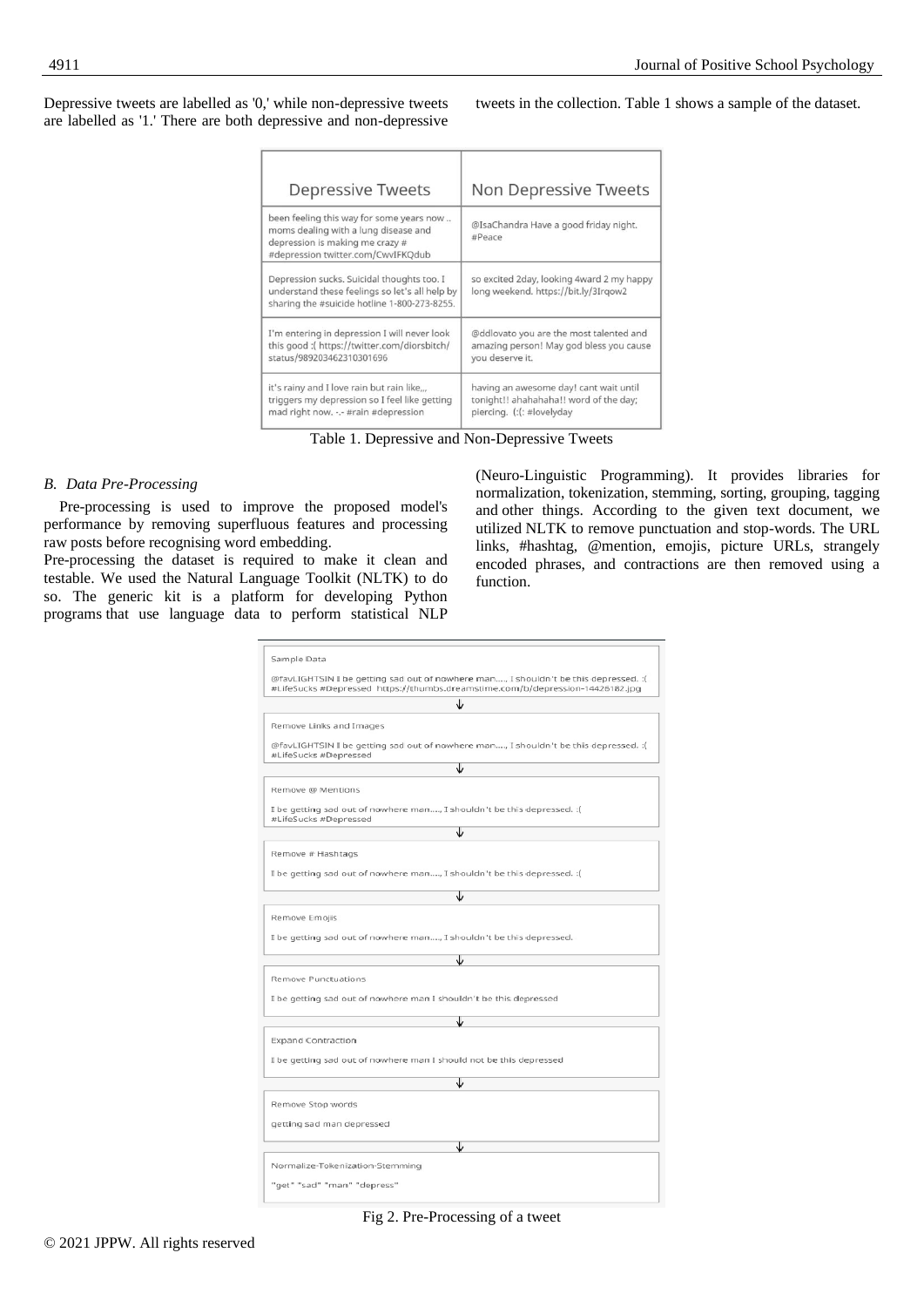Depressive tweets are labelled as '0,' while non-depressive tweets are labelled as '1.' There are both depressive and non-depressive

tweets in the collection. Table 1 shows a sample of the dataset.

| <b>Depressive Tweets</b>                                                                                                                                  | Non Depressive Tweets                                                                                         |
|-----------------------------------------------------------------------------------------------------------------------------------------------------------|---------------------------------------------------------------------------------------------------------------|
| been feeling this way for some years now<br>moms dealing with a lung disease and<br>depression is making me crazy #<br>#depression twitter.com/CwvIFKQdub | @IsaChandra Have a good friday night.<br>#Peace                                                               |
| Depression sucks. Suicidal thoughts too. I<br>understand these feelings so let's all help by<br>sharing the #suicide hotline 1-800-273-8255.              | so excited 2day, looking 4ward 2 my happy<br>long weekend. https://bit.ly/3Irgow2                             |
| I'm entering in depression I will never look<br>this good :( https://twitter.com/diorsbitch/<br>status/989203462310301696                                 | @ddlovato you are the most talented and<br>amazing person! May god bless you cause<br>you deserve it.         |
| it's rainy and I love rain but rain like,,,<br>triggers my depression so I feel like getting<br>mad right now. -.- #rain #depression                      | having an awesome day! cant wait until<br>tonight!! ahahahaha!! word of the day;<br>piercing. (:(: #lovelyday |

Table 1. Depressive and Non-Depressive Tweets

# *B. Data Pre-Processing*

 Pre-processing is used to improve the proposed model's performance by removing superfluous features and processing raw posts before recognising word embedding.

Pre-processing the dataset is required to make it clean and testable. We used the Natural Language Toolkit (NLTK) to do so. The generic kit is a platform for developing Python programs that use language data to perform statistical NLP (Neuro-Linguistic Programming). It provides libraries for normalization, tokenization, stemming, sorting, grouping, tagging and other things. According to the given text document, we utilized NLTK to remove punctuation and stop-words. The URL links, #hashtag, @mention, emojis, picture URLs, strangely encoded phrases, and contractions are then removed using a function.



Fig 2. Pre-Processing of a tweet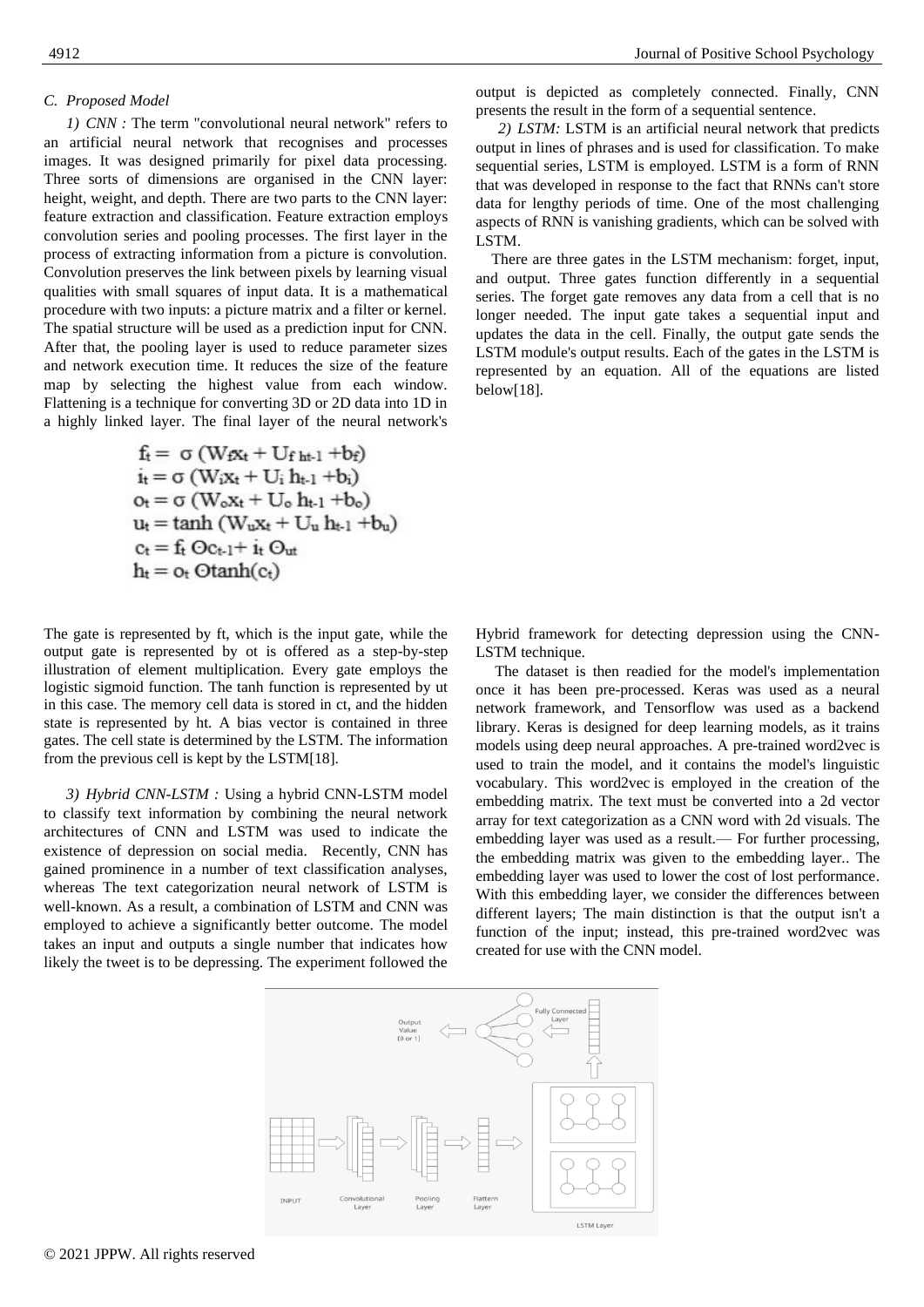# *C. Proposed Model*

*1) CNN :* The term "convolutional neural network" refers to an artificial neural network that recognises and processes images. It was designed primarily for pixel data processing. Three sorts of dimensions are organised in the CNN layer: height, weight, and depth. There are two parts to the CNN layer: feature extraction and classification. Feature extraction employs convolution series and pooling processes. The first layer in the process of extracting information from a picture is convolution. Convolution preserves the link between pixels by learning visual qualities with small squares of input data. It is a mathematical procedure with two inputs: a picture matrix and a filter or kernel. The spatial structure will be used as a prediction input for CNN. After that, the pooling layer is used to reduce parameter sizes and network execution time. It reduces the size of the feature map by selecting the highest value from each window. Flattening is a technique for converting 3D or 2D data into 1D in a highly linked layer. The final layer of the neural network's

$$
\begin{array}{l} f_t = \ \sigma \left( W_f x_t + U_{f \, ht\text{-}1} + b_f \right) \\ i_t = \sigma \left( W_i x_t + U_i \; h_{t\text{-}1} + b_i \right) \\ o_t = \sigma \left( W_o x_t + U_o \; h_{t\text{-}1} + b_o \right) \\ u_t = \tanh \left( W_u x_t + U_u \; h_{t\text{-}1} + b_u \right) \\ c_t = f_t \; Oc_{t\text{-}1} + i_t \; O_{ut} \\ h_t = o_t \; Otanh(c_t) \end{array}
$$

The gate is represented by ft, which is the input gate, while the output gate is represented by ot is offered as a step-by-step illustration of element multiplication. Every gate employs the logistic sigmoid function. The tanh function is represented by ut in this case. The memory cell data is stored in ct, and the hidden state is represented by ht. A bias vector is contained in three gates. The cell state is determined by the LSTM. The information from the previous cell is kept by the LSTM[18].

*3) Hybrid CNN-LSTM :* Using a hybrid CNN-LSTM model to classify text information by combining the neural network architectures of CNN and LSTM was used to indicate the existence of depression on social media. Recently, CNN has gained prominence in a number of text classification analyses, whereas The text categorization neural network of LSTM is well-known. As a result, a combination of LSTM and CNN was employed to achieve a significantly better outcome. The model takes an input and outputs a single number that indicates how likely the tweet is to be depressing. The experiment followed the

output is depicted as completely connected. Finally, CNN presents the result in the form of a sequential sentence.

*2) LSTM:* LSTM is an artificial neural network that predicts output in lines of phrases and is used for classification. To make sequential series, LSTM is employed. LSTM is a form of RNN that was developed in response to the fact that RNNs can't store data for lengthy periods of time. One of the most challenging aspects of RNN is vanishing gradients, which can be solved with LSTM.

 There are three gates in the LSTM mechanism: forget, input, and output. Three gates function differently in a sequential series. The forget gate removes any data from a cell that is no longer needed. The input gate takes a sequential input and updates the data in the cell. Finally, the output gate sends the LSTM module's output results. Each of the gates in the LSTM is represented by an equation. All of the equations are listed below[18].

Hybrid framework for detecting depression using the CNN-LSTM technique.

 The dataset is then readied for the model's implementation once it has been pre-processed. Keras was used as a neural network framework, and Tensorflow was used as a backend library. Keras is designed for deep learning models, as it trains models using deep neural approaches. A pre-trained word2vec is used to train the model, and it contains the model's linguistic vocabulary. This word2vec is employed in the creation of the embedding matrix. The text must be converted into a 2d vector array for text categorization as a CNN word with 2d visuals. The embedding layer was used as a result.— For further processing, the embedding matrix was given to the embedding layer.. The embedding layer was used to lower the cost of lost performance. With this embedding layer, we consider the differences between different layers; The main distinction is that the output isn't a function of the input; instead, this pre-trained word2vec was created for use with the CNN model.

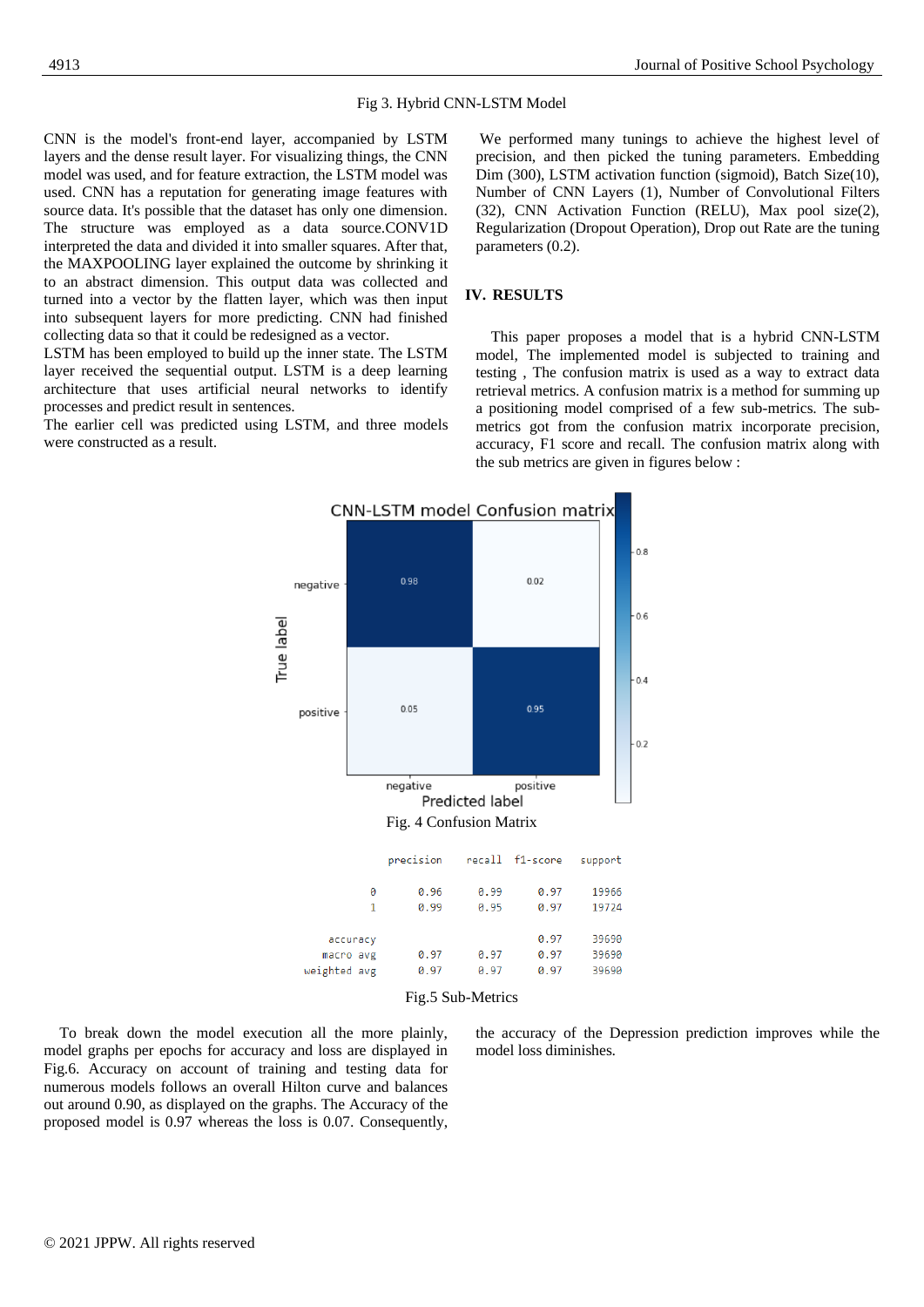### Fig 3. Hybrid CNN-LSTM Model

CNN is the model's front-end layer, accompanied by LSTM layers and the dense result layer. For visualizing things, the CNN model was used, and for feature extraction, the LSTM model was used. CNN has a reputation for generating image features with source data. It's possible that the dataset has only one dimension. The structure was employed as a data source.CONV1D interpreted the data and divided it into smaller squares. After that, the MAXPOOLING layer explained the outcome by shrinking it to an abstract dimension. This output data was collected and turned into a vector by the flatten layer, which was then input into subsequent layers for more predicting. CNN had finished collecting data so that it could be redesigned as a vector.

LSTM has been employed to build up the inner state. The LSTM layer received the sequential output. LSTM is a deep learning architecture that uses artificial neural networks to identify processes and predict result in sentences.

The earlier cell was predicted using LSTM, and three models were constructed as a result.

We performed many tunings to achieve the highest level of precision, and then picked the tuning parameters. Embedding Dim (300), LSTM activation function (sigmoid), Batch Size(10), Number of CNN Layers (1), Number of Convolutional Filters (32), CNN Activation Function (RELU), Max pool size(2), Regularization (Dropout Operation), Drop out Rate are the tuning parameters (0.2).

# **IV. RESULTS**

 This paper proposes a model that is a hybrid CNN-LSTM model, The implemented model is subjected to training and testing , The confusion matrix is used as a way to extract data retrieval metrics. A confusion matrix is a method for summing up a positioning model comprised of a few sub-metrics. The submetrics got from the confusion matrix incorporate precision, accuracy, F1 score and recall. The confusion matrix along with the sub metrics are given in figures below :



Fig.5 Sub-Metrics

 To break down the model execution all the more plainly, model graphs per epochs for accuracy and loss are displayed in Fig.6. Accuracy on account of training and testing data for numerous models follows an overall Hilton curve and balances out around 0.90, as displayed on the graphs. The Accuracy of the proposed model is 0.97 whereas the loss is 0.07. Consequently, the accuracy of the Depression prediction improves while the model loss diminishes.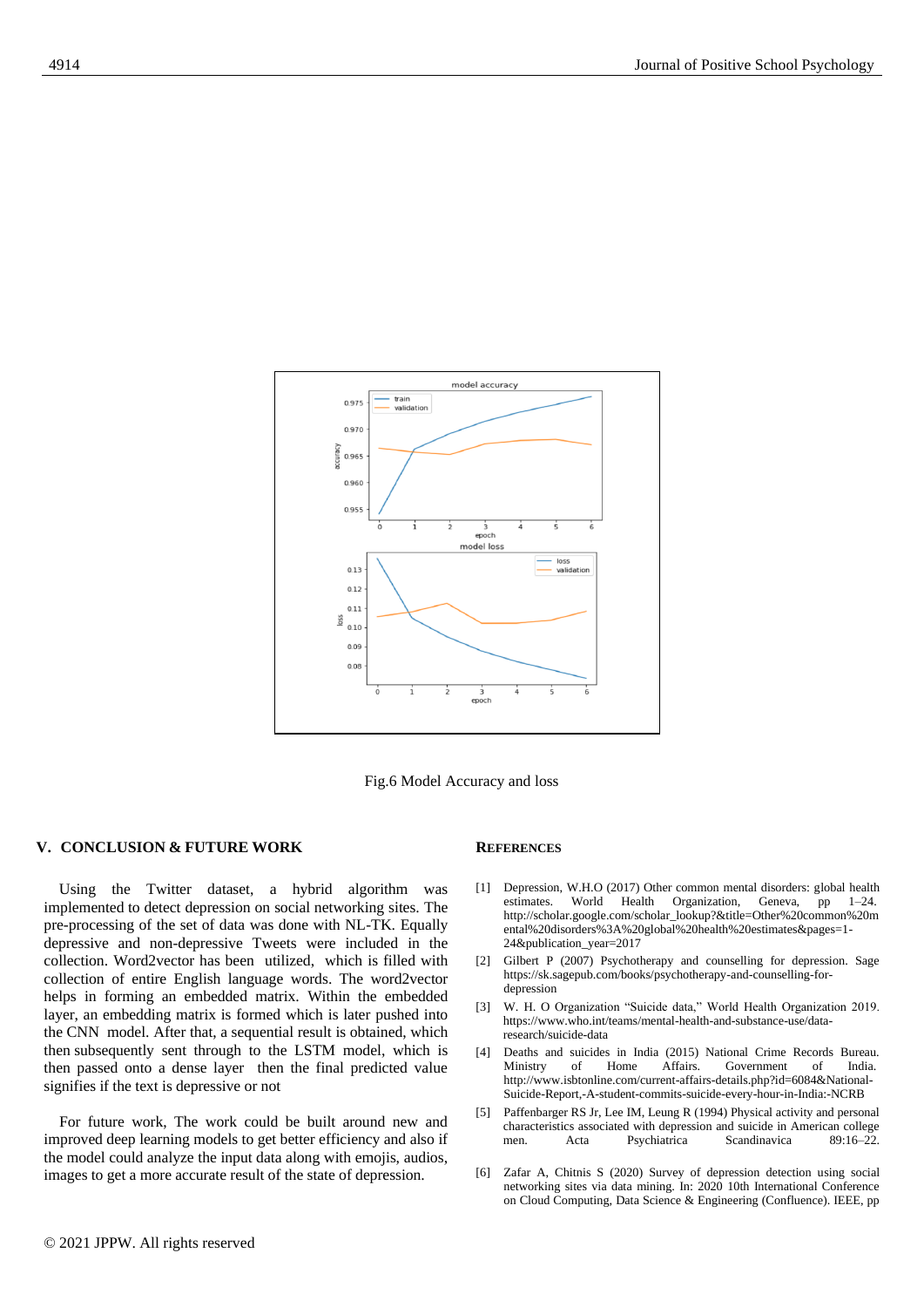



# **V. CONCLUSION & FUTURE WORK**

 Using the Twitter dataset, a hybrid algorithm was implemented to detect depression on social networking sites. The pre-processing of the set of data was done with NL-TK. Equally depressive and non-depressive Tweets were included in the collection. Word2vector has been utilized, which is filled with collection of entire English language words. The word2vector helps in forming an embedded matrix. Within the embedded layer, an embedding matrix is formed which is later pushed into the CNN model. After that, a sequential result is obtained, which then subsequently sent through to the LSTM model, which is then passed onto a dense layer then the final predicted value signifies if the text is depressive or not

 For future work, The work could be built around new and improved deep learning models to get better efficiency and also if the model could analyze the input data along with emojis, audios, images to get a more accurate result of the state of depression.

#### **REFERENCES**

- [1] Depression, W.H.O (2017) Other common mental disorders: global health estimates. World Health Organization, Geneva, pp 1–24. [http://scholar.google.com/scholar\\_lookup?&title=Other%20common%20m](http://scholar.google.com/scholar_lookup?&title=Other%20common%20mental%20disorders%3A%20global%20health%20estimates&pages=1-24&publication_year=2017) [ental%20disorders%3A%20global%20health%20estimates&pages=1-](http://scholar.google.com/scholar_lookup?&title=Other%20common%20mental%20disorders%3A%20global%20health%20estimates&pages=1-24&publication_year=2017) [24&publication\\_year=2017](http://scholar.google.com/scholar_lookup?&title=Other%20common%20mental%20disorders%3A%20global%20health%20estimates&pages=1-24&publication_year=2017)
- [2] Gilbert P (2007) Psychotherapy and counselling for depression. Sage [https://sk.sagepub.com/books/psychotherapy-and-counselling-for](https://sk.sagepub.com/books/psychotherapy-and-counselling-for-depression)[depression](https://sk.sagepub.com/books/psychotherapy-and-counselling-for-depression)
- [3] W. H. O Organization "Suicide data," World Health Organization 2019. [https://www.who.int/teams/mental-health-and-substance-use/data](https://www.who.int/teams/mental-health-and-substance-use/data-research/suicide-data)[research/suicide-data](https://www.who.int/teams/mental-health-and-substance-use/data-research/suicide-data)
- [4] Deaths and suicides in India (2015) National Crime Records Bureau. Ministry of Home Affairs. Government of India. [http://www.isbtonline.com/current-affairs-details.php?id=6084&National-](http://www.isbtonline.com/current-affairs-details.php?id=6084&National-Suicide-Report,-A-student-commits-suicide-every-hour-in-India:-NCRB)[Suicide-Report,-A-student-commits-suicide-every-hour-in-India:-NCRB](http://www.isbtonline.com/current-affairs-details.php?id=6084&National-Suicide-Report,-A-student-commits-suicide-every-hour-in-India:-NCRB)
- [5] Paffenbarger RS Jr, Lee IM, Leung R (1994) Physical activity and personal characteristics associated with depression and suicide in American college men. Acta Psychiatrica Scandinavica 89:16–22.
- [6] Zafar A, Chitnis S (2020) Survey of depression detection using social networking sites via data mining. In: 2020 10th International Conference on Cloud Computing, Data Science & Engineering (Confluence). IEEE, pp